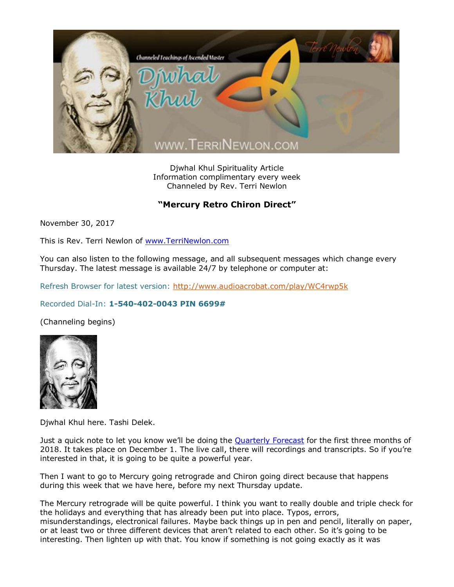

Djwhal Khul Spirituality Article Information complimentary every week Channeled by Rev. Terri Newlon

## "Mercury Retro Chiron Direct"

November 30, 2017

This is Rev. Terri Newlon of [www.TerriNewlon.com](http://www.terrinewlon.com/)

You can also listen to the following message, and all subsequent messages which change every Thursday. The latest message is available 24/7 by telephone or computer at:

Refresh Browser for latest version:<http://www.audioacrobat.com/play/WC4rwp5k>

## Recorded Dial-In: **1-540-402-0043 PIN 6699#**

(Channeling begins)



Djwhal Khul here. Tashi Delek.

Just a quick note to let you know we'll be doing the **[Quarterly Forecast](http://www.terrinewlon.com/telecourses.php) for the first three months of** 2018. It takes place on December 1. The live call, there will recordings and transcripts. So if you're interested in that, it is going to be quite a powerful year.

Then I want to go to Mercury going retrograde and Chiron going direct because that happens during this week that we have here, before my next Thursday update.

The Mercury retrograde will be quite powerful. I think you want to really double and triple check for the holidays and everything that has already been put into place. Typos, errors, misunderstandings, electronical failures. Maybe back things up in pen and pencil, literally on paper, or at least two or three different devices that aren't related to each other. So it's going to be interesting. Then lighten up with that. You know if something is not going exactly as it was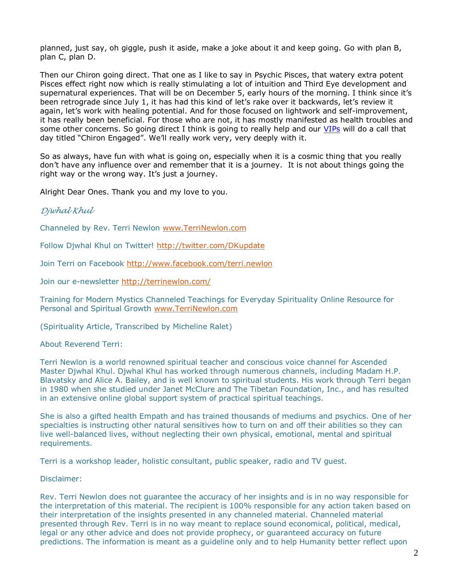planned, just say, oh giggle, push it aside, make a joke about it and keep going. Go with plan B, plan C, plan D.

Then our Chiron going direct. That one as I like to say in Psychic Pisces, that watery extra potent Pisces effect right now which is really stimulating a lot of intuition and Third Eye development and supernatural experiences. That will be on December 5, early hours of the morning. I think since it's been retrograde since July 1, it has had this kind of let's rake over it backwards, let's review it again, let's work with healing potential. And for those focused on lightwork and self-improvement, it has really been beneficial. For those who are not, it has mostly manifested as health troubles and some other concerns. So going direct I think is going to really help and our [VIPs](http://www.terrinewlon.com/telecourses.php#newoffer) will do a call that day titled "Chiron Engaged". We'll really work very, very deeply with it.

So as always, have fun with what is going on, especially when it is a cosmic thing that you really don't have any influence over and remember that it is a journey. It is not about things going the right way or the wrong way. It's just a journey.

Alright Dear Ones. Thank you and my love to you.

## *Djwhal Khul*

Channeled by Rev. Terri Newlon [www.TerriNewlon.com](http://www.terrinewlon.com/)

Follow Djwhal Khul on Twitter!<http://twitter.com/DKupdate>

Join Terri on Facebook<http://www.facebook.com/terri.newlon>

Join our e-newsletter<http://terrinewlon.com/>

Training for Modern Mystics Channeled Teachings for Everyday Spirituality Online Resource for Personal and Spiritual Growth [www.TerriNewlon.com](http://www.terrinewlon.com/)

(Spirituality Article, Transcribed by Micheline Ralet)

About Reverend Terri:

Terri Newlon is a world renowned spiritual teacher and conscious voice channel for Ascended Master Djwhal Khul. Djwhal Khul has worked through numerous channels, including Madam H.P. Blavatsky and Alice A. Bailey, and is well known to spiritual students. His work through Terri began in 1980 when she studied under Janet McClure and The Tibetan Foundation, Inc., and has resulted in an extensive online global support system of practical spiritual teachings.

She is also a gifted health Empath and has trained thousands of mediums and psychics. One of her specialties is instructing other natural sensitives how to turn on and off their abilities so they can live well-balanced lives, without neglecting their own physical, emotional, mental and spiritual requirements.

Terri is a workshop leader, holistic consultant, public speaker, radio and TV guest.

Disclaimer:

Rev. Terri Newlon does not guarantee the accuracy of her insights and is in no way responsible for the interpretation of this material. The recipient is 100% responsible for any action taken based on their interpretation of the insights presented in any channeled material. Channeled material presented through Rev. Terri is in no way meant to replace sound economical, political, medical, legal or any other advice and does not provide prophecy, or guaranteed accuracy on future predictions. The information is meant as a guideline only and to help Humanity better reflect upon